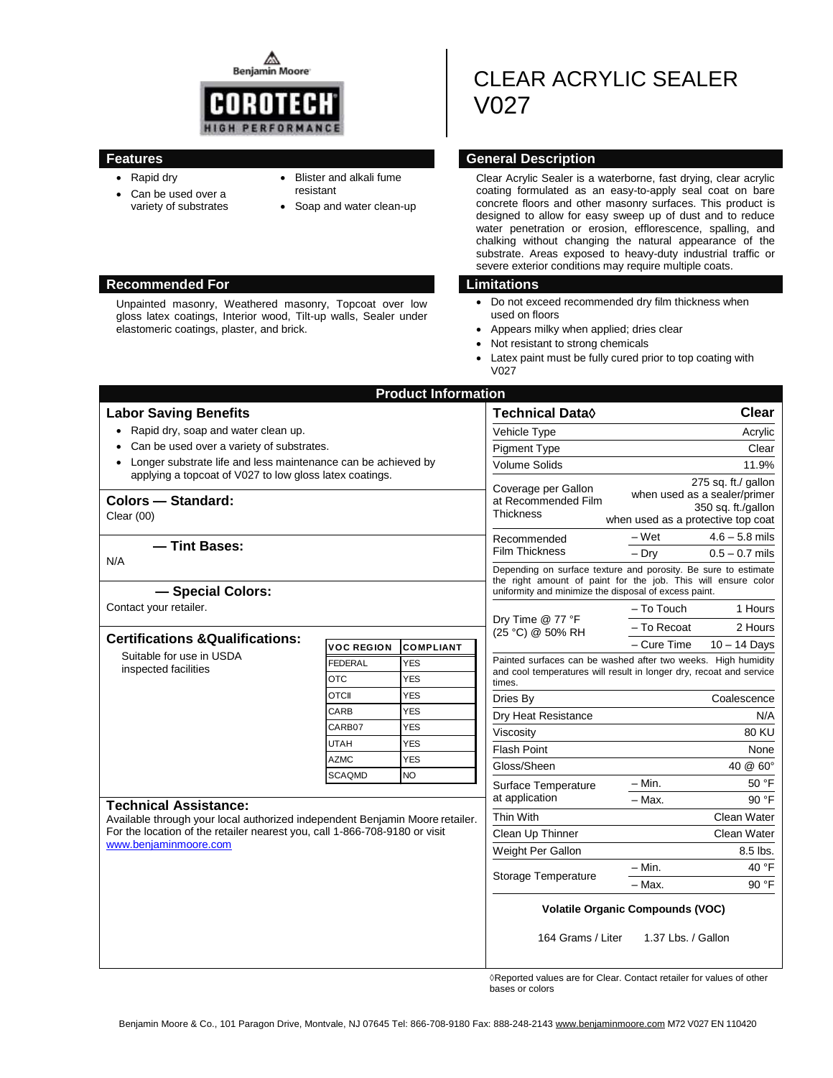**Benjamin Moore** 



Unpainted masonry, Weathered masonry, Topcoat over low gloss latex coatings, Interior wood, Tilt-up walls, Sealer under

## **Features General Description**

- Rapid dry
- Can be used over a variety of substrates

elastomeric coatings, plaster, and brick.

- Blister and alkali fume resistant
- Soap and water clean-up

Clear Acrylic Sealer is a waterborne, fast drying, clear acrylic coating formulated as an easy-to-apply seal coat on bare concrete floors and other masonry surfaces. This product is designed to allow for easy sweep up of dust and to reduce water penetration or erosion, efflorescence, spalling, and chalking without changing the natural appearance of the substrate. Areas exposed to heavy-duty industrial traffic or severe exterior conditions may require multiple coats.

CLEAR ACRYLIC SEALER

## **Recommended For Limitations**

V027

- Do not exceed recommended dry film thickness when used on floors
- Appears milky when applied; dries clear
- Not resistant to strong chemicals
- Latex paint must be fully cured prior to top coating with **V027**

|                                                                                                     |                   | <b>Product Information</b> |                                                                                                                        |                                                                |
|-----------------------------------------------------------------------------------------------------|-------------------|----------------------------|------------------------------------------------------------------------------------------------------------------------|----------------------------------------------------------------|
| <b>Labor Saving Benefits</b>                                                                        |                   |                            | Technical Data◊                                                                                                        | <b>Clear</b>                                                   |
| • Rapid dry, soap and water clean up.                                                               |                   |                            | Vehicle Type                                                                                                           | Acrylic                                                        |
| Can be used over a variety of substrates.                                                           |                   |                            | <b>Pigment Type</b>                                                                                                    | Clear                                                          |
| Longer substrate life and less maintenance can be achieved by                                       |                   |                            | <b>Volume Solids</b>                                                                                                   | 11.9%                                                          |
| applying a topcoat of V027 to low gloss latex coatings.                                             |                   |                            | Coverage per Gallon<br>at Recommended Film<br><b>Thickness</b><br>Recommended<br><b>Film Thickness</b>                 | 275 sq. ft./ gallon                                            |
| Colors - Standard:<br>Clear $(00)$                                                                  |                   |                            |                                                                                                                        | when used as a sealer/primer                                   |
|                                                                                                     |                   |                            |                                                                                                                        | 350 sq. ft./gallon<br>when used as a protective top coat       |
|                                                                                                     |                   |                            |                                                                                                                        | $4.6 - 5.8$ mils<br>– Wet                                      |
| - Tint Bases:                                                                                       |                   |                            |                                                                                                                        | $-$ Dry<br>$0.5 - 0.7$ mils                                    |
| N/A                                                                                                 |                   |                            |                                                                                                                        | Depending on surface texture and porosity. Be sure to estimate |
| - Special Colors:                                                                                   |                   |                            | the right amount of paint for the job. This will ensure color<br>uniformity and minimize the disposal of excess paint. |                                                                |
| Contact your retailer.                                                                              |                   |                            | Dry Time @ 77 °F<br>(25 °C) @ 50% RH                                                                                   | - To Touch<br>1 Hours                                          |
|                                                                                                     |                   |                            |                                                                                                                        | - To Recoat<br>2 Hours                                         |
| <b>Certifications &amp; Qualifications:</b><br>Suitable for use in USDA<br>inspected facilities     | <b>VOC REGION</b> | <b>COMPLIANT</b>           |                                                                                                                        | – Cure Time<br>$10 - 14$ Days                                  |
|                                                                                                     | <b>FEDERAL</b>    | YES                        |                                                                                                                        | Painted surfaces can be washed after two weeks. High humidity  |
|                                                                                                     | <b>OTC</b>        | <b>YES</b>                 | and cool temperatures will result in longer dry, recoat and service<br>times.                                          |                                                                |
|                                                                                                     | <b>OTCII</b>      | <b>YES</b>                 | Dries By                                                                                                               | Coalescence                                                    |
|                                                                                                     | CARB              | <b>YES</b>                 | Dry Heat Resistance                                                                                                    | N/A                                                            |
|                                                                                                     | CARB07            | <b>YES</b>                 | Viscosity                                                                                                              | <b>80 KU</b>                                                   |
|                                                                                                     | <b>UTAH</b>       | <b>YES</b>                 | <b>Flash Point</b>                                                                                                     | None                                                           |
|                                                                                                     | <b>AZMC</b>       | <b>YES</b>                 | Gloss/Sheen                                                                                                            | $40 \& 60^{\circ}$                                             |
|                                                                                                     | <b>SCAQMD</b>     | <b>NO</b>                  | Surface Temperature                                                                                                    | - Min.<br>50 °F                                                |
| <b>Technical Assistance:</b>                                                                        |                   |                            | at application                                                                                                         | - Max.<br>90 °F                                                |
| Available through your local authorized independent Benjamin Moore retailer.                        |                   |                            | Thin With                                                                                                              | Clean Water                                                    |
| For the location of the retailer nearest you, call 1-866-708-9180 or visit<br>www.beniaminmoore.com |                   |                            | Clean Up Thinner                                                                                                       | Clean Water                                                    |
|                                                                                                     |                   |                            | Weight Per Gallon                                                                                                      | $8.5$ lbs.                                                     |
|                                                                                                     |                   | Storage Temperature        | 40 °F<br>$- Min.$                                                                                                      |                                                                |
|                                                                                                     |                   |                            | $-$ Max.<br>90 °F                                                                                                      |                                                                |
|                                                                                                     |                   |                            | <b>Volatile Organic Compounds (VOC)</b>                                                                                |                                                                |
|                                                                                                     |                   |                            | 164 Grams / Liter                                                                                                      | 1.37 Lbs. / Gallon                                             |
|                                                                                                     |                   |                            | $\sim$ $\sim$                                                                                                          | .                                                              |

◊Reported values are for Clear. Contact retailer for values of other bases or colors